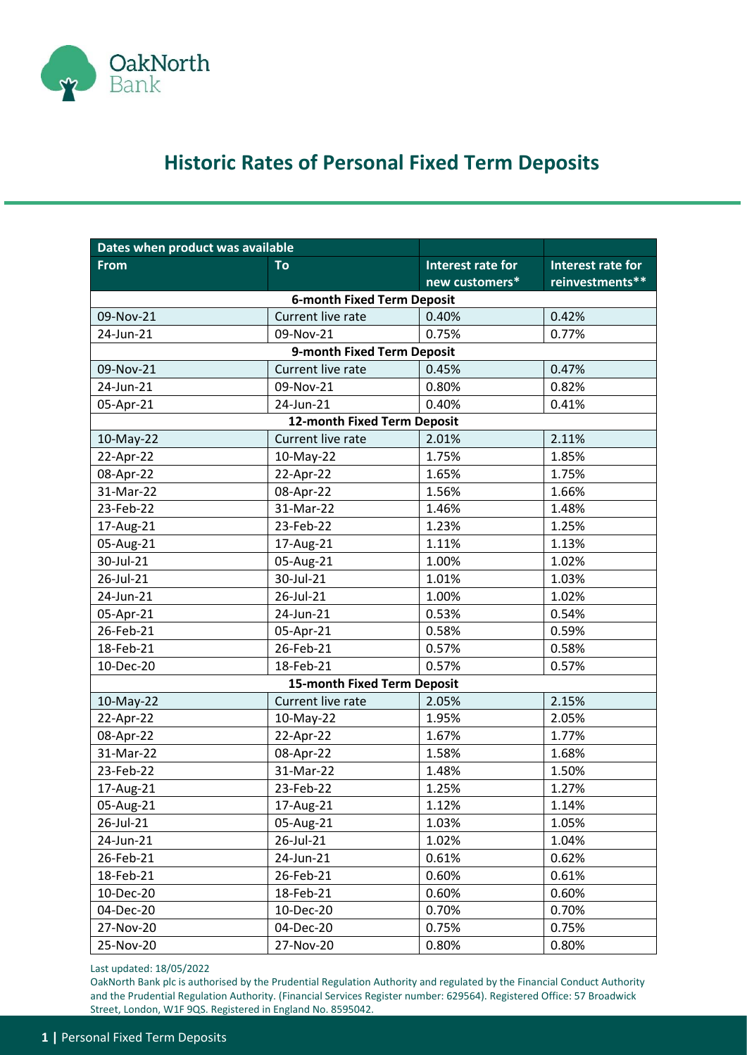

## **Historic Rates of Personal Fixed Term Deposits**

| Dates when product was available |                                    |                   |                          |  |
|----------------------------------|------------------------------------|-------------------|--------------------------|--|
| <b>From</b>                      | To                                 | Interest rate for | <b>Interest rate for</b> |  |
|                                  |                                    | new customers*    | reinvestments**          |  |
|                                  | <b>6-month Fixed Term Deposit</b>  |                   |                          |  |
| 09-Nov-21                        | Current live rate                  | 0.40%             | 0.42%                    |  |
| 24-Jun-21                        | 09-Nov-21                          | 0.75%             | 0.77%                    |  |
| 9-month Fixed Term Deposit       |                                    |                   |                          |  |
| 09-Nov-21                        | Current live rate                  | 0.45%             | 0.47%                    |  |
| 24-Jun-21                        | 09-Nov-21                          | 0.80%             | 0.82%                    |  |
| 05-Apr-21                        | 24-Jun-21                          | 0.40%             | 0.41%                    |  |
|                                  | 12-month Fixed Term Deposit        |                   |                          |  |
| 10-May-22                        | Current live rate                  | 2.01%             | 2.11%                    |  |
| 22-Apr-22                        | 10-May-22                          | 1.75%             | 1.85%                    |  |
| 08-Apr-22                        | 22-Apr-22                          | 1.65%             | 1.75%                    |  |
| 31-Mar-22                        | 08-Apr-22                          | 1.56%             | 1.66%                    |  |
| 23-Feb-22                        | 31-Mar-22                          | 1.46%             | 1.48%                    |  |
| 17-Aug-21                        | 23-Feb-22                          | 1.23%             | 1.25%                    |  |
| 05-Aug-21                        | 17-Aug-21                          | 1.11%             | 1.13%                    |  |
| 30-Jul-21                        | 05-Aug-21                          | 1.00%             | 1.02%                    |  |
| 26-Jul-21                        | 30-Jul-21                          | 1.01%             | 1.03%                    |  |
| 24-Jun-21                        | 26-Jul-21                          | 1.00%             | 1.02%                    |  |
| 05-Apr-21                        | 24-Jun-21                          | 0.53%             | 0.54%                    |  |
| 26-Feb-21                        | 05-Apr-21                          | 0.58%             | 0.59%                    |  |
| 18-Feb-21                        | 26-Feb-21                          | 0.57%             | 0.58%                    |  |
| 10-Dec-20                        | 18-Feb-21                          | 0.57%             | 0.57%                    |  |
|                                  | <b>15-month Fixed Term Deposit</b> |                   |                          |  |
| 10-May-22                        | Current live rate                  | 2.05%             | 2.15%                    |  |
| 22-Apr-22                        | 10-May-22                          | 1.95%             | 2.05%                    |  |
| 08-Apr-22                        | 22-Apr-22                          | 1.67%             | 1.77%                    |  |
| 31-Mar-22                        | 08-Apr-22                          | 1.58%             | 1.68%                    |  |
| 23-Feb-22                        | 31-Mar-22                          | 1.48%             | 1.50%                    |  |
| 17-Aug-21                        | 23-Feb-22                          | 1.25%             | 1.27%                    |  |
| 05-Aug-21                        | 17-Aug-21                          | 1.12%             | 1.14%                    |  |
| 26-Jul-21                        | 05-Aug-21                          | 1.03%             | 1.05%                    |  |
| 24-Jun-21                        | 26-Jul-21                          | 1.02%             | 1.04%                    |  |
| 26-Feb-21                        | 24-Jun-21                          | 0.61%             | 0.62%                    |  |
| 18-Feb-21                        | 26-Feb-21                          | 0.60%             | 0.61%                    |  |
| 10-Dec-20                        | 18-Feb-21                          | 0.60%             | 0.60%                    |  |
| 04-Dec-20                        | 10-Dec-20                          | 0.70%             | 0.70%                    |  |
| 27-Nov-20                        | 04-Dec-20                          | 0.75%             | 0.75%                    |  |
| 25-Nov-20                        | 27-Nov-20                          | 0.80%             | 0.80%                    |  |

Last updated: 18/05/2022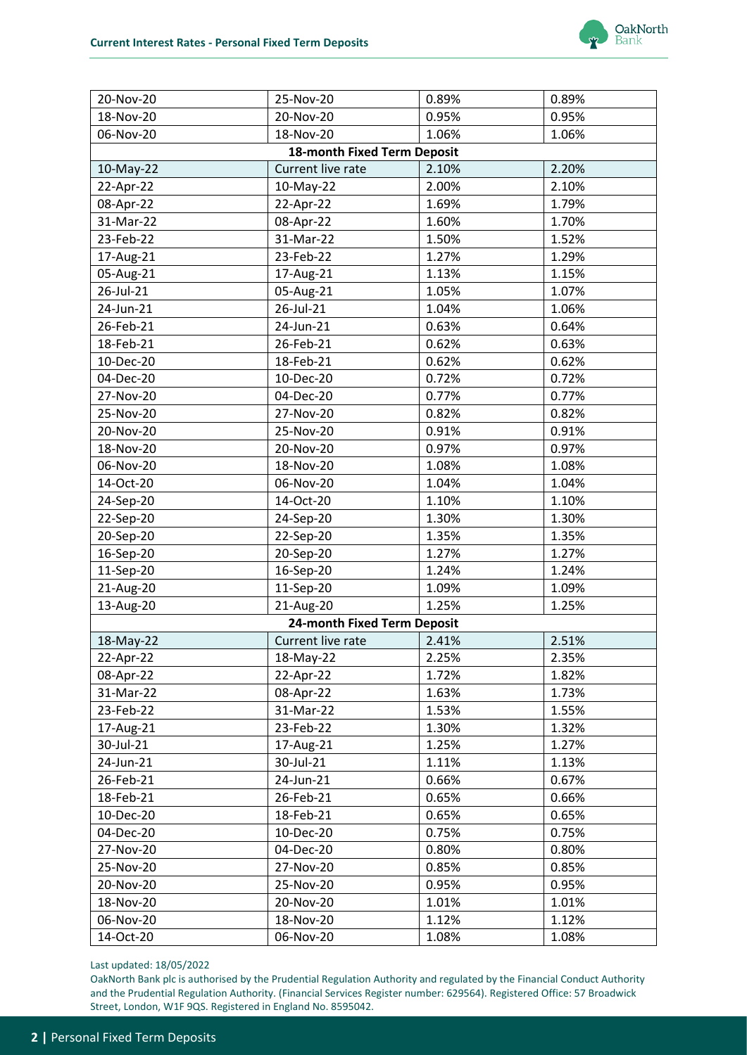

| 20-Nov-20 | 25-Nov-20                          | 0.89% | 0.89% |
|-----------|------------------------------------|-------|-------|
| 18-Nov-20 | 20-Nov-20                          | 0.95% | 0.95% |
| 06-Nov-20 | 18-Nov-20                          | 1.06% | 1.06% |
|           | <b>18-month Fixed Term Deposit</b> |       |       |
| 10-May-22 | Current live rate                  | 2.10% | 2.20% |
| 22-Apr-22 | 10-May-22                          | 2.00% | 2.10% |
| 08-Apr-22 | 22-Apr-22                          | 1.69% | 1.79% |
| 31-Mar-22 | 08-Apr-22                          | 1.60% | 1.70% |
| 23-Feb-22 | 31-Mar-22                          | 1.50% | 1.52% |
| 17-Aug-21 | 23-Feb-22                          | 1.27% | 1.29% |
| 05-Aug-21 | 17-Aug-21                          | 1.13% | 1.15% |
| 26-Jul-21 | 05-Aug-21                          | 1.05% | 1.07% |
| 24-Jun-21 | 26-Jul-21                          | 1.04% | 1.06% |
| 26-Feb-21 | 24-Jun-21                          | 0.63% | 0.64% |
| 18-Feb-21 | 26-Feb-21                          | 0.62% | 0.63% |
| 10-Dec-20 | 18-Feb-21                          | 0.62% | 0.62% |
| 04-Dec-20 | 10-Dec-20                          | 0.72% | 0.72% |
| 27-Nov-20 | 04-Dec-20                          | 0.77% | 0.77% |
| 25-Nov-20 | 27-Nov-20                          | 0.82% | 0.82% |
| 20-Nov-20 | 25-Nov-20                          | 0.91% | 0.91% |
| 18-Nov-20 | 20-Nov-20                          | 0.97% | 0.97% |
| 06-Nov-20 | 18-Nov-20                          | 1.08% | 1.08% |
| 14-Oct-20 | 06-Nov-20                          | 1.04% | 1.04% |
| 24-Sep-20 | 14-Oct-20                          | 1.10% | 1.10% |
| 22-Sep-20 | 24-Sep-20                          | 1.30% | 1.30% |
| 20-Sep-20 | 22-Sep-20                          | 1.35% | 1.35% |
| 16-Sep-20 | 20-Sep-20                          | 1.27% | 1.27% |
| 11-Sep-20 | 16-Sep-20                          | 1.24% | 1.24% |
| 21-Aug-20 | 11-Sep-20                          | 1.09% | 1.09% |
| 13-Aug-20 | 21-Aug-20                          | 1.25% | 1.25% |
|           | 24-month Fixed Term Deposit        |       |       |
| 18-May-22 | Current live rate                  | 2.41% | 2.51% |
| 22-Apr-22 | 18-May-22                          | 2.25% | 2.35% |
| 08-Apr-22 | 22-Apr-22                          | 1.72% | 1.82% |
| 31-Mar-22 | 08-Apr-22                          | 1.63% | 1.73% |
| 23-Feb-22 | 31-Mar-22                          | 1.53% | 1.55% |
| 17-Aug-21 | 23-Feb-22                          | 1.30% | 1.32% |
| 30-Jul-21 | 17-Aug-21                          | 1.25% | 1.27% |
| 24-Jun-21 | 30-Jul-21                          | 1.11% | 1.13% |
| 26-Feb-21 | 24-Jun-21                          | 0.66% | 0.67% |
| 18-Feb-21 | 26-Feb-21                          | 0.65% | 0.66% |
| 10-Dec-20 | 18-Feb-21                          | 0.65% | 0.65% |
| 04-Dec-20 | 10-Dec-20                          | 0.75% | 0.75% |
| 27-Nov-20 | 04-Dec-20                          | 0.80% | 0.80% |
| 25-Nov-20 | 27-Nov-20                          | 0.85% | 0.85% |
| 20-Nov-20 | 25-Nov-20                          | 0.95% | 0.95% |
| 18-Nov-20 | 20-Nov-20                          | 1.01% | 1.01% |
| 06-Nov-20 | 18-Nov-20                          | 1.12% | 1.12% |
| 14-Oct-20 | 06-Nov-20                          | 1.08% | 1.08% |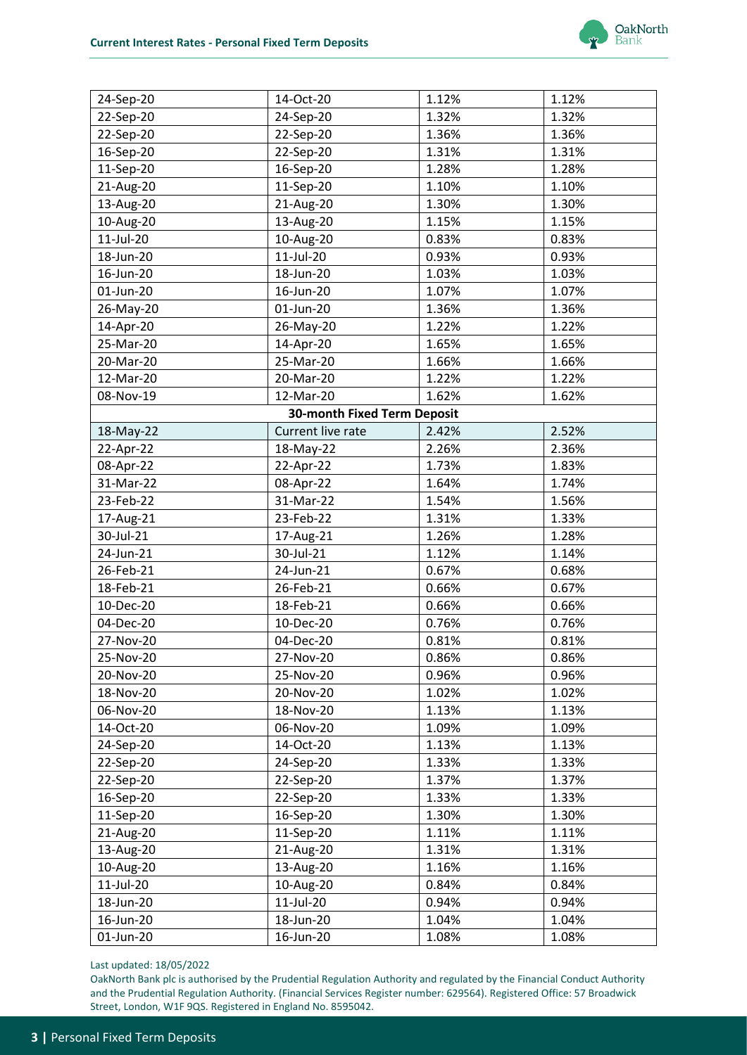

| 22-Sep-20<br>24-Sep-20<br>1.32%<br>1.32%<br>1.36%<br>22-Sep-20<br>22-Sep-20<br>1.36%<br>1.31%<br>16-Sep-20<br>22-Sep-20<br>1.31%<br>11-Sep-20<br>16-Sep-20<br>1.28%<br>1.28%<br>11-Sep-20<br>1.10%<br>1.10%<br>21-Aug-20<br>1.30%<br>13-Aug-20<br>21-Aug-20<br>1.30%<br>13-Aug-20<br>10-Aug-20<br>1.15%<br>1.15%<br>11-Jul-20<br>0.83%<br>0.83%<br>10-Aug-20 |
|--------------------------------------------------------------------------------------------------------------------------------------------------------------------------------------------------------------------------------------------------------------------------------------------------------------------------------------------------------------|
|                                                                                                                                                                                                                                                                                                                                                              |
|                                                                                                                                                                                                                                                                                                                                                              |
|                                                                                                                                                                                                                                                                                                                                                              |
|                                                                                                                                                                                                                                                                                                                                                              |
|                                                                                                                                                                                                                                                                                                                                                              |
|                                                                                                                                                                                                                                                                                                                                                              |
|                                                                                                                                                                                                                                                                                                                                                              |
|                                                                                                                                                                                                                                                                                                                                                              |
| 11-Jul-20<br>0.93%<br>0.93%<br>18-Jun-20                                                                                                                                                                                                                                                                                                                     |
| 16-Jun-20<br>18-Jun-20<br>1.03%<br>1.03%                                                                                                                                                                                                                                                                                                                     |
| 01-Jun-20<br>16-Jun-20<br>1.07%<br>1.07%                                                                                                                                                                                                                                                                                                                     |
| 1.36%<br>01-Jun-20<br>1.36%<br>26-May-20                                                                                                                                                                                                                                                                                                                     |
| 14-Apr-20<br>26-May-20<br>1.22%<br>1.22%                                                                                                                                                                                                                                                                                                                     |
| 25-Mar-20<br>14-Apr-20<br>1.65%<br>1.65%                                                                                                                                                                                                                                                                                                                     |
| 1.66%<br>20-Mar-20<br>25-Mar-20<br>1.66%                                                                                                                                                                                                                                                                                                                     |
| 12-Mar-20<br>1.22%<br>20-Mar-20<br>1.22%                                                                                                                                                                                                                                                                                                                     |
| 08-Nov-19<br>12-Mar-20<br>1.62%<br>1.62%                                                                                                                                                                                                                                                                                                                     |
| <b>30-month Fixed Term Deposit</b>                                                                                                                                                                                                                                                                                                                           |
| 18-May-22<br>Current live rate<br>2.42%<br>2.52%                                                                                                                                                                                                                                                                                                             |
| 22-Apr-22<br>18-May-22<br>2.26%<br>2.36%                                                                                                                                                                                                                                                                                                                     |
| 08-Apr-22<br>22-Apr-22<br>1.73%<br>1.83%                                                                                                                                                                                                                                                                                                                     |
| 31-Mar-22<br>08-Apr-22<br>1.64%<br>1.74%                                                                                                                                                                                                                                                                                                                     |
| 23-Feb-22<br>31-Mar-22<br>1.54%<br>1.56%                                                                                                                                                                                                                                                                                                                     |
| 23-Feb-22<br>1.31%<br>1.33%<br>17-Aug-21                                                                                                                                                                                                                                                                                                                     |
| 30-Jul-21<br>1.26%<br>1.28%<br>17-Aug-21                                                                                                                                                                                                                                                                                                                     |
| 30-Jul-21<br>24-Jun-21<br>1.12%<br>1.14%                                                                                                                                                                                                                                                                                                                     |
| 26-Feb-21<br>24-Jun-21<br>0.67%<br>0.68%                                                                                                                                                                                                                                                                                                                     |
| 0.66%<br>18-Feb-21<br>26-Feb-21<br>0.67%                                                                                                                                                                                                                                                                                                                     |
| 0.66%<br>10-Dec-20<br>18-Feb-21<br>0.66%                                                                                                                                                                                                                                                                                                                     |
| 04-Dec-20<br>10-Dec-20<br>0.76%<br>0.76%                                                                                                                                                                                                                                                                                                                     |
| 27-Nov-20<br>04-Dec-20<br>0.81%<br>0.81%                                                                                                                                                                                                                                                                                                                     |
| 0.86%<br>25-Nov-20<br>27-Nov-20<br>0.86%                                                                                                                                                                                                                                                                                                                     |
| 20-Nov-20<br>25-Nov-20<br>0.96%<br>0.96%                                                                                                                                                                                                                                                                                                                     |
| 18-Nov-20<br>20-Nov-20<br>1.02%<br>1.02%                                                                                                                                                                                                                                                                                                                     |
| 06-Nov-20<br>18-Nov-20<br>1.13%<br>1.13%                                                                                                                                                                                                                                                                                                                     |
| 14-Oct-20<br>06-Nov-20<br>1.09%<br>1.09%                                                                                                                                                                                                                                                                                                                     |
| 1.13%<br>1.13%<br>24-Sep-20<br>14-Oct-20                                                                                                                                                                                                                                                                                                                     |
| 1.33%<br>22-Sep-20<br>24-Sep-20<br>1.33%                                                                                                                                                                                                                                                                                                                     |
| 22-Sep-20<br>1.37%<br>1.37%<br>22-Sep-20                                                                                                                                                                                                                                                                                                                     |
| 1.33%<br>16-Sep-20<br>22-Sep-20<br>1.33%                                                                                                                                                                                                                                                                                                                     |
| 11-Sep-20<br>16-Sep-20<br>1.30%<br>1.30%                                                                                                                                                                                                                                                                                                                     |
| 11-Sep-20<br>1.11%<br>1.11%<br>21-Aug-20                                                                                                                                                                                                                                                                                                                     |
| 21-Aug-20<br>1.31%<br>1.31%<br>13-Aug-20                                                                                                                                                                                                                                                                                                                     |
| 10-Aug-20<br>13-Aug-20<br>1.16%<br>1.16%                                                                                                                                                                                                                                                                                                                     |
| 11-Jul-20<br>10-Aug-20<br>0.84%<br>0.84%                                                                                                                                                                                                                                                                                                                     |
| 11-Jul-20<br>18-Jun-20<br>0.94%<br>0.94%                                                                                                                                                                                                                                                                                                                     |
| 16-Jun-20<br>18-Jun-20<br>1.04%<br>1.04%                                                                                                                                                                                                                                                                                                                     |
| 01-Jun-20<br>16-Jun-20<br>1.08%<br>1.08%                                                                                                                                                                                                                                                                                                                     |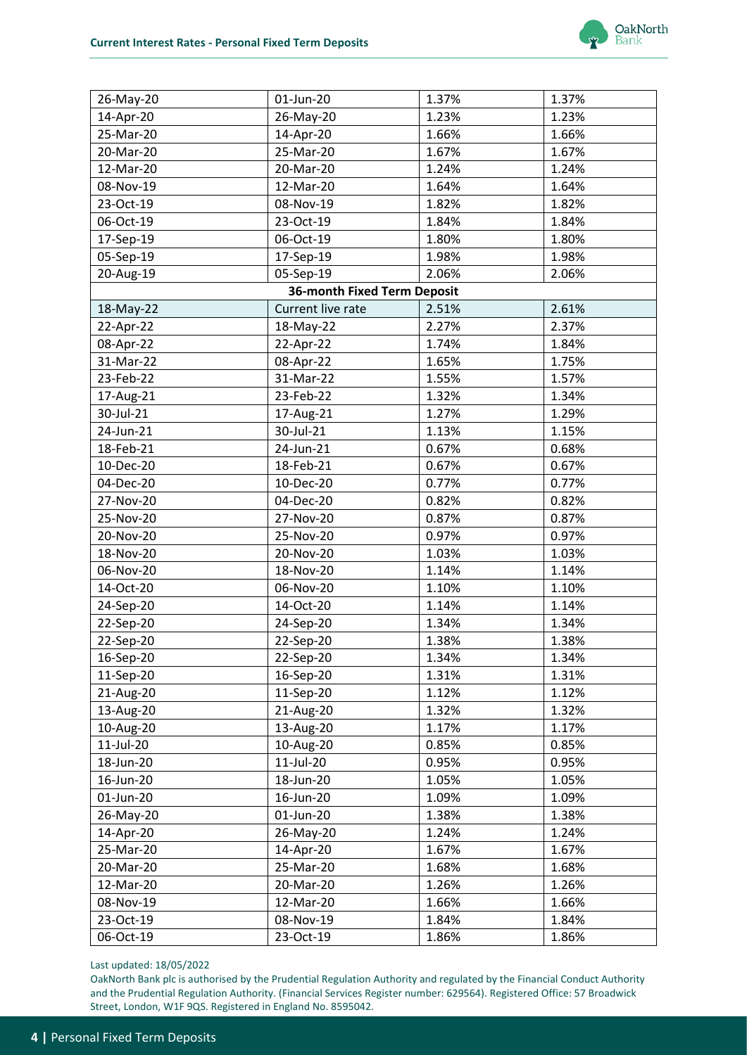

| 26-May-20 | 01-Jun-20                          | 1.37% | 1.37% |
|-----------|------------------------------------|-------|-------|
| 14-Apr-20 | 26-May-20                          | 1.23% | 1.23% |
| 25-Mar-20 | 14-Apr-20                          | 1.66% | 1.66% |
| 20-Mar-20 | 25-Mar-20                          | 1.67% | 1.67% |
| 12-Mar-20 | 20-Mar-20                          | 1.24% | 1.24% |
| 08-Nov-19 | 12-Mar-20                          | 1.64% | 1.64% |
| 23-Oct-19 | 08-Nov-19                          | 1.82% | 1.82% |
| 06-Oct-19 | 23-Oct-19                          | 1.84% | 1.84% |
| 17-Sep-19 | 06-Oct-19                          | 1.80% | 1.80% |
| 05-Sep-19 | 17-Sep-19                          | 1.98% | 1.98% |
| 20-Aug-19 | 05-Sep-19                          | 2.06% | 2.06% |
|           | <b>36-month Fixed Term Deposit</b> |       |       |
| 18-May-22 | Current live rate                  | 2.51% | 2.61% |
| 22-Apr-22 | 18-May-22                          | 2.27% | 2.37% |
| 08-Apr-22 | 22-Apr-22                          | 1.74% | 1.84% |
| 31-Mar-22 | 08-Apr-22                          | 1.65% | 1.75% |
| 23-Feb-22 | 31-Mar-22                          | 1.55% | 1.57% |
| 17-Aug-21 | 23-Feb-22                          | 1.32% | 1.34% |
| 30-Jul-21 | 17-Aug-21                          | 1.27% | 1.29% |
| 24-Jun-21 | 30-Jul-21                          | 1.13% | 1.15% |
| 18-Feb-21 | 24-Jun-21                          | 0.67% | 0.68% |
| 10-Dec-20 | 18-Feb-21                          | 0.67% | 0.67% |
| 04-Dec-20 | 10-Dec-20                          | 0.77% | 0.77% |
| 27-Nov-20 | 04-Dec-20                          | 0.82% | 0.82% |
| 25-Nov-20 | 27-Nov-20                          | 0.87% | 0.87% |
| 20-Nov-20 | 25-Nov-20                          | 0.97% | 0.97% |
| 18-Nov-20 | 20-Nov-20                          | 1.03% | 1.03% |
| 06-Nov-20 | 18-Nov-20                          | 1.14% | 1.14% |
| 14-Oct-20 | 06-Nov-20                          | 1.10% | 1.10% |
| 24-Sep-20 | 14-Oct-20                          | 1.14% | 1.14% |
| 22-Sep-20 | 24-Sep-20                          | 1.34% | 1.34% |
| 22-Sep-20 | 22-Sep-20                          | 1.38% | 1.38% |
| 16-Sep-20 | 22-Sep-20                          | 1.34% | 1.34% |
| 11-Sep-20 | 16-Sep-20                          | 1.31% | 1.31% |
| 21-Aug-20 | 11-Sep-20                          | 1.12% | 1.12% |
| 13-Aug-20 | 21-Aug-20                          | 1.32% | 1.32% |
| 10-Aug-20 | 13-Aug-20                          | 1.17% | 1.17% |
| 11-Jul-20 | 10-Aug-20                          | 0.85% | 0.85% |
| 18-Jun-20 | 11-Jul-20                          | 0.95% | 0.95% |
| 16-Jun-20 | 18-Jun-20                          | 1.05% | 1.05% |
| 01-Jun-20 | 16-Jun-20                          | 1.09% | 1.09% |
| 26-May-20 | 01-Jun-20                          | 1.38% | 1.38% |
| 14-Apr-20 | 26-May-20                          | 1.24% | 1.24% |
| 25-Mar-20 | 14-Apr-20                          | 1.67% | 1.67% |
| 20-Mar-20 | 25-Mar-20                          | 1.68% | 1.68% |
| 12-Mar-20 | 20-Mar-20                          | 1.26% | 1.26% |
| 08-Nov-19 | 12-Mar-20                          | 1.66% | 1.66% |
| 23-Oct-19 | 08-Nov-19                          | 1.84% | 1.84% |
| 06-Oct-19 | 23-Oct-19                          | 1.86% | 1.86% |
|           |                                    |       |       |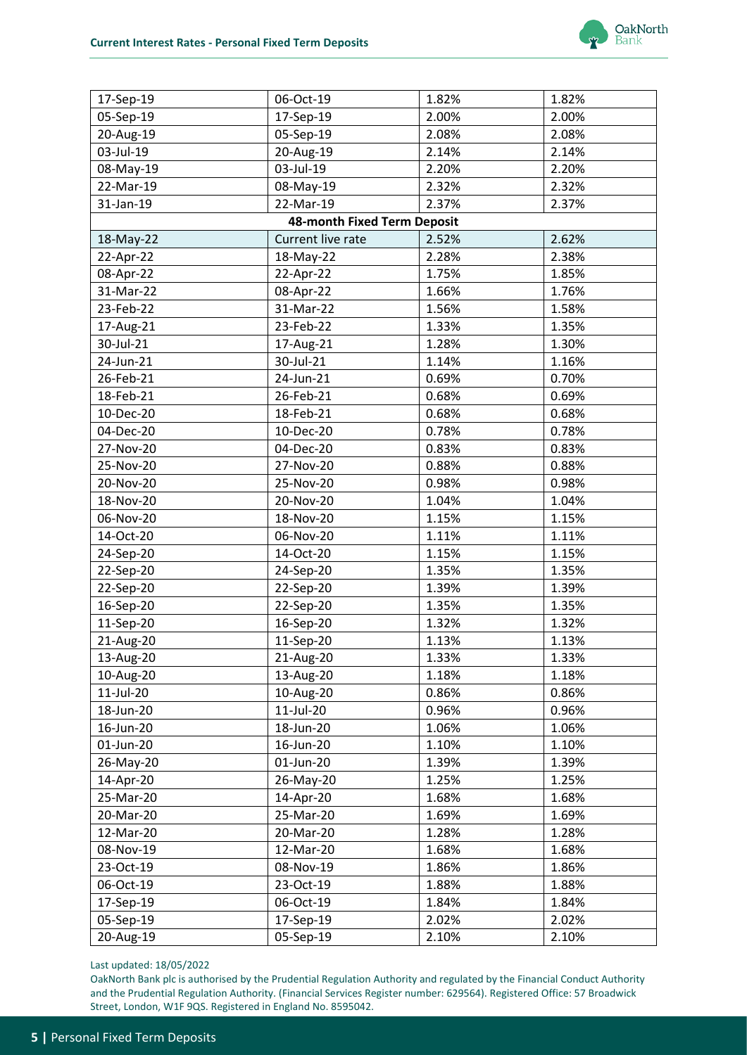

| 05-Sep-19<br>2.00%<br>2.00%<br>17-Sep-19<br>05-Sep-19<br>2.08%<br>2.08%<br>20-Aug-19<br>03-Jul-19<br>20-Aug-19<br>2.14%<br>2.14%<br>03-Jul-19<br>08-May-19<br>2.20%<br>2.20%<br>22-Mar-19<br>2.32%<br>2.32%<br>08-May-19<br>31-Jan-19<br>2.37%<br>22-Mar-19<br>2.37%<br>48-month Fixed Term Deposit<br>2.52%<br>2.62%<br>Current live rate<br>18-May-22<br>22-Apr-22<br>18-May-22<br>2.28%<br>2.38%<br>22-Apr-22<br>1.75%<br>08-Apr-22<br>1.85%<br>31-Mar-22<br>1.66%<br>1.76%<br>08-Apr-22<br>23-Feb-22<br>31-Mar-22<br>1.56%<br>1.58%<br>23-Feb-22<br>1.33%<br>1.35%<br>17-Aug-21<br>30-Jul-21<br>1.28%<br>1.30%<br>17-Aug-21<br>24-Jun-21<br>30-Jul-21<br>1.14%<br>1.16%<br>26-Feb-21<br>24-Jun-21<br>0.70%<br>0.69%<br>18-Feb-21<br>26-Feb-21<br>0.68%<br>0.69%<br>10-Dec-20<br>18-Feb-21<br>0.68%<br>0.68%<br>04-Dec-20<br>10-Dec-20<br>0.78%<br>0.78%<br>27-Nov-20<br>04-Dec-20<br>0.83%<br>0.83%<br>25-Nov-20<br>27-Nov-20<br>0.88%<br>0.88%<br>20-Nov-20<br>25-Nov-20<br>0.98%<br>0.98%<br>18-Nov-20<br>20-Nov-20<br>1.04%<br>1.04%<br>06-Nov-20<br>18-Nov-20<br>1.15%<br>1.15%<br>14-Oct-20<br>06-Nov-20<br>1.11%<br>1.11%<br>14-Oct-20<br>1.15%<br>1.15%<br>24-Sep-20<br>1.35%<br>1.35%<br>22-Sep-20<br>24-Sep-20<br>22-Sep-20<br>22-Sep-20<br>1.39%<br>1.39%<br>1.35%<br>16-Sep-20<br>22-Sep-20<br>1.35%<br>1.32%<br>11-Sep-20<br>16-Sep-20<br>1.32%<br>21-Aug-20<br>11-Sep-20<br>1.13%<br>1.13%<br>13-Aug-20<br>21-Aug-20<br>1.33%<br>1.33%<br>10-Aug-20<br>1.18%<br>1.18%<br>13-Aug-20<br>11-Jul-20<br>10-Aug-20<br>0.86%<br>0.86%<br>18-Jun-20<br>11-Jul-20<br>0.96%<br>0.96%<br>1.06%<br>18-Jun-20<br>1.06%<br>16-Jun-20<br>01-Jun-20<br>16-Jun-20<br>1.10%<br>1.10%<br>26-May-20<br>01-Jun-20<br>1.39%<br>1.39%<br>1.25%<br>1.25%<br>14-Apr-20<br>26-May-20<br>25-Mar-20<br>14-Apr-20<br>1.68%<br>1.68%<br>20-Mar-20<br>25-Mar-20<br>1.69%<br>1.69%<br>1.28%<br>12-Mar-20<br>1.28%<br>20-Mar-20<br>08-Nov-19<br>12-Mar-20<br>1.68%<br>1.68%<br>23-Oct-19<br>08-Nov-19<br>1.86%<br>1.86%<br>06-Oct-19<br>23-Oct-19<br>1.88%<br>1.88%<br>17-Sep-19<br>06-Oct-19<br>1.84%<br>1.84%<br>05-Sep-19<br>17-Sep-19<br>2.02%<br>2.02%<br>20-Aug-19<br>05-Sep-19<br>2.10%<br>2.10% | 17-Sep-19 | 06-Oct-19 | 1.82% | 1.82% |
|-----------------------------------------------------------------------------------------------------------------------------------------------------------------------------------------------------------------------------------------------------------------------------------------------------------------------------------------------------------------------------------------------------------------------------------------------------------------------------------------------------------------------------------------------------------------------------------------------------------------------------------------------------------------------------------------------------------------------------------------------------------------------------------------------------------------------------------------------------------------------------------------------------------------------------------------------------------------------------------------------------------------------------------------------------------------------------------------------------------------------------------------------------------------------------------------------------------------------------------------------------------------------------------------------------------------------------------------------------------------------------------------------------------------------------------------------------------------------------------------------------------------------------------------------------------------------------------------------------------------------------------------------------------------------------------------------------------------------------------------------------------------------------------------------------------------------------------------------------------------------------------------------------------------------------------------------------------------------------------------------------------------------------------------------------------------------------------------------------------------------------------------------------------------------------------------|-----------|-----------|-------|-------|
|                                                                                                                                                                                                                                                                                                                                                                                                                                                                                                                                                                                                                                                                                                                                                                                                                                                                                                                                                                                                                                                                                                                                                                                                                                                                                                                                                                                                                                                                                                                                                                                                                                                                                                                                                                                                                                                                                                                                                                                                                                                                                                                                                                                         |           |           |       |       |
|                                                                                                                                                                                                                                                                                                                                                                                                                                                                                                                                                                                                                                                                                                                                                                                                                                                                                                                                                                                                                                                                                                                                                                                                                                                                                                                                                                                                                                                                                                                                                                                                                                                                                                                                                                                                                                                                                                                                                                                                                                                                                                                                                                                         |           |           |       |       |
|                                                                                                                                                                                                                                                                                                                                                                                                                                                                                                                                                                                                                                                                                                                                                                                                                                                                                                                                                                                                                                                                                                                                                                                                                                                                                                                                                                                                                                                                                                                                                                                                                                                                                                                                                                                                                                                                                                                                                                                                                                                                                                                                                                                         |           |           |       |       |
|                                                                                                                                                                                                                                                                                                                                                                                                                                                                                                                                                                                                                                                                                                                                                                                                                                                                                                                                                                                                                                                                                                                                                                                                                                                                                                                                                                                                                                                                                                                                                                                                                                                                                                                                                                                                                                                                                                                                                                                                                                                                                                                                                                                         |           |           |       |       |
|                                                                                                                                                                                                                                                                                                                                                                                                                                                                                                                                                                                                                                                                                                                                                                                                                                                                                                                                                                                                                                                                                                                                                                                                                                                                                                                                                                                                                                                                                                                                                                                                                                                                                                                                                                                                                                                                                                                                                                                                                                                                                                                                                                                         |           |           |       |       |
|                                                                                                                                                                                                                                                                                                                                                                                                                                                                                                                                                                                                                                                                                                                                                                                                                                                                                                                                                                                                                                                                                                                                                                                                                                                                                                                                                                                                                                                                                                                                                                                                                                                                                                                                                                                                                                                                                                                                                                                                                                                                                                                                                                                         |           |           |       |       |
|                                                                                                                                                                                                                                                                                                                                                                                                                                                                                                                                                                                                                                                                                                                                                                                                                                                                                                                                                                                                                                                                                                                                                                                                                                                                                                                                                                                                                                                                                                                                                                                                                                                                                                                                                                                                                                                                                                                                                                                                                                                                                                                                                                                         |           |           |       |       |
|                                                                                                                                                                                                                                                                                                                                                                                                                                                                                                                                                                                                                                                                                                                                                                                                                                                                                                                                                                                                                                                                                                                                                                                                                                                                                                                                                                                                                                                                                                                                                                                                                                                                                                                                                                                                                                                                                                                                                                                                                                                                                                                                                                                         |           |           |       |       |
|                                                                                                                                                                                                                                                                                                                                                                                                                                                                                                                                                                                                                                                                                                                                                                                                                                                                                                                                                                                                                                                                                                                                                                                                                                                                                                                                                                                                                                                                                                                                                                                                                                                                                                                                                                                                                                                                                                                                                                                                                                                                                                                                                                                         |           |           |       |       |
|                                                                                                                                                                                                                                                                                                                                                                                                                                                                                                                                                                                                                                                                                                                                                                                                                                                                                                                                                                                                                                                                                                                                                                                                                                                                                                                                                                                                                                                                                                                                                                                                                                                                                                                                                                                                                                                                                                                                                                                                                                                                                                                                                                                         |           |           |       |       |
|                                                                                                                                                                                                                                                                                                                                                                                                                                                                                                                                                                                                                                                                                                                                                                                                                                                                                                                                                                                                                                                                                                                                                                                                                                                                                                                                                                                                                                                                                                                                                                                                                                                                                                                                                                                                                                                                                                                                                                                                                                                                                                                                                                                         |           |           |       |       |
|                                                                                                                                                                                                                                                                                                                                                                                                                                                                                                                                                                                                                                                                                                                                                                                                                                                                                                                                                                                                                                                                                                                                                                                                                                                                                                                                                                                                                                                                                                                                                                                                                                                                                                                                                                                                                                                                                                                                                                                                                                                                                                                                                                                         |           |           |       |       |
|                                                                                                                                                                                                                                                                                                                                                                                                                                                                                                                                                                                                                                                                                                                                                                                                                                                                                                                                                                                                                                                                                                                                                                                                                                                                                                                                                                                                                                                                                                                                                                                                                                                                                                                                                                                                                                                                                                                                                                                                                                                                                                                                                                                         |           |           |       |       |
|                                                                                                                                                                                                                                                                                                                                                                                                                                                                                                                                                                                                                                                                                                                                                                                                                                                                                                                                                                                                                                                                                                                                                                                                                                                                                                                                                                                                                                                                                                                                                                                                                                                                                                                                                                                                                                                                                                                                                                                                                                                                                                                                                                                         |           |           |       |       |
|                                                                                                                                                                                                                                                                                                                                                                                                                                                                                                                                                                                                                                                                                                                                                                                                                                                                                                                                                                                                                                                                                                                                                                                                                                                                                                                                                                                                                                                                                                                                                                                                                                                                                                                                                                                                                                                                                                                                                                                                                                                                                                                                                                                         |           |           |       |       |
|                                                                                                                                                                                                                                                                                                                                                                                                                                                                                                                                                                                                                                                                                                                                                                                                                                                                                                                                                                                                                                                                                                                                                                                                                                                                                                                                                                                                                                                                                                                                                                                                                                                                                                                                                                                                                                                                                                                                                                                                                                                                                                                                                                                         |           |           |       |       |
|                                                                                                                                                                                                                                                                                                                                                                                                                                                                                                                                                                                                                                                                                                                                                                                                                                                                                                                                                                                                                                                                                                                                                                                                                                                                                                                                                                                                                                                                                                                                                                                                                                                                                                                                                                                                                                                                                                                                                                                                                                                                                                                                                                                         |           |           |       |       |
|                                                                                                                                                                                                                                                                                                                                                                                                                                                                                                                                                                                                                                                                                                                                                                                                                                                                                                                                                                                                                                                                                                                                                                                                                                                                                                                                                                                                                                                                                                                                                                                                                                                                                                                                                                                                                                                                                                                                                                                                                                                                                                                                                                                         |           |           |       |       |
|                                                                                                                                                                                                                                                                                                                                                                                                                                                                                                                                                                                                                                                                                                                                                                                                                                                                                                                                                                                                                                                                                                                                                                                                                                                                                                                                                                                                                                                                                                                                                                                                                                                                                                                                                                                                                                                                                                                                                                                                                                                                                                                                                                                         |           |           |       |       |
|                                                                                                                                                                                                                                                                                                                                                                                                                                                                                                                                                                                                                                                                                                                                                                                                                                                                                                                                                                                                                                                                                                                                                                                                                                                                                                                                                                                                                                                                                                                                                                                                                                                                                                                                                                                                                                                                                                                                                                                                                                                                                                                                                                                         |           |           |       |       |
|                                                                                                                                                                                                                                                                                                                                                                                                                                                                                                                                                                                                                                                                                                                                                                                                                                                                                                                                                                                                                                                                                                                                                                                                                                                                                                                                                                                                                                                                                                                                                                                                                                                                                                                                                                                                                                                                                                                                                                                                                                                                                                                                                                                         |           |           |       |       |
|                                                                                                                                                                                                                                                                                                                                                                                                                                                                                                                                                                                                                                                                                                                                                                                                                                                                                                                                                                                                                                                                                                                                                                                                                                                                                                                                                                                                                                                                                                                                                                                                                                                                                                                                                                                                                                                                                                                                                                                                                                                                                                                                                                                         |           |           |       |       |
|                                                                                                                                                                                                                                                                                                                                                                                                                                                                                                                                                                                                                                                                                                                                                                                                                                                                                                                                                                                                                                                                                                                                                                                                                                                                                                                                                                                                                                                                                                                                                                                                                                                                                                                                                                                                                                                                                                                                                                                                                                                                                                                                                                                         |           |           |       |       |
|                                                                                                                                                                                                                                                                                                                                                                                                                                                                                                                                                                                                                                                                                                                                                                                                                                                                                                                                                                                                                                                                                                                                                                                                                                                                                                                                                                                                                                                                                                                                                                                                                                                                                                                                                                                                                                                                                                                                                                                                                                                                                                                                                                                         |           |           |       |       |
|                                                                                                                                                                                                                                                                                                                                                                                                                                                                                                                                                                                                                                                                                                                                                                                                                                                                                                                                                                                                                                                                                                                                                                                                                                                                                                                                                                                                                                                                                                                                                                                                                                                                                                                                                                                                                                                                                                                                                                                                                                                                                                                                                                                         |           |           |       |       |
|                                                                                                                                                                                                                                                                                                                                                                                                                                                                                                                                                                                                                                                                                                                                                                                                                                                                                                                                                                                                                                                                                                                                                                                                                                                                                                                                                                                                                                                                                                                                                                                                                                                                                                                                                                                                                                                                                                                                                                                                                                                                                                                                                                                         |           |           |       |       |
|                                                                                                                                                                                                                                                                                                                                                                                                                                                                                                                                                                                                                                                                                                                                                                                                                                                                                                                                                                                                                                                                                                                                                                                                                                                                                                                                                                                                                                                                                                                                                                                                                                                                                                                                                                                                                                                                                                                                                                                                                                                                                                                                                                                         |           |           |       |       |
|                                                                                                                                                                                                                                                                                                                                                                                                                                                                                                                                                                                                                                                                                                                                                                                                                                                                                                                                                                                                                                                                                                                                                                                                                                                                                                                                                                                                                                                                                                                                                                                                                                                                                                                                                                                                                                                                                                                                                                                                                                                                                                                                                                                         |           |           |       |       |
|                                                                                                                                                                                                                                                                                                                                                                                                                                                                                                                                                                                                                                                                                                                                                                                                                                                                                                                                                                                                                                                                                                                                                                                                                                                                                                                                                                                                                                                                                                                                                                                                                                                                                                                                                                                                                                                                                                                                                                                                                                                                                                                                                                                         |           |           |       |       |
|                                                                                                                                                                                                                                                                                                                                                                                                                                                                                                                                                                                                                                                                                                                                                                                                                                                                                                                                                                                                                                                                                                                                                                                                                                                                                                                                                                                                                                                                                                                                                                                                                                                                                                                                                                                                                                                                                                                                                                                                                                                                                                                                                                                         |           |           |       |       |
|                                                                                                                                                                                                                                                                                                                                                                                                                                                                                                                                                                                                                                                                                                                                                                                                                                                                                                                                                                                                                                                                                                                                                                                                                                                                                                                                                                                                                                                                                                                                                                                                                                                                                                                                                                                                                                                                                                                                                                                                                                                                                                                                                                                         |           |           |       |       |
|                                                                                                                                                                                                                                                                                                                                                                                                                                                                                                                                                                                                                                                                                                                                                                                                                                                                                                                                                                                                                                                                                                                                                                                                                                                                                                                                                                                                                                                                                                                                                                                                                                                                                                                                                                                                                                                                                                                                                                                                                                                                                                                                                                                         |           |           |       |       |
|                                                                                                                                                                                                                                                                                                                                                                                                                                                                                                                                                                                                                                                                                                                                                                                                                                                                                                                                                                                                                                                                                                                                                                                                                                                                                                                                                                                                                                                                                                                                                                                                                                                                                                                                                                                                                                                                                                                                                                                                                                                                                                                                                                                         |           |           |       |       |
|                                                                                                                                                                                                                                                                                                                                                                                                                                                                                                                                                                                                                                                                                                                                                                                                                                                                                                                                                                                                                                                                                                                                                                                                                                                                                                                                                                                                                                                                                                                                                                                                                                                                                                                                                                                                                                                                                                                                                                                                                                                                                                                                                                                         |           |           |       |       |
|                                                                                                                                                                                                                                                                                                                                                                                                                                                                                                                                                                                                                                                                                                                                                                                                                                                                                                                                                                                                                                                                                                                                                                                                                                                                                                                                                                                                                                                                                                                                                                                                                                                                                                                                                                                                                                                                                                                                                                                                                                                                                                                                                                                         |           |           |       |       |
|                                                                                                                                                                                                                                                                                                                                                                                                                                                                                                                                                                                                                                                                                                                                                                                                                                                                                                                                                                                                                                                                                                                                                                                                                                                                                                                                                                                                                                                                                                                                                                                                                                                                                                                                                                                                                                                                                                                                                                                                                                                                                                                                                                                         |           |           |       |       |
|                                                                                                                                                                                                                                                                                                                                                                                                                                                                                                                                                                                                                                                                                                                                                                                                                                                                                                                                                                                                                                                                                                                                                                                                                                                                                                                                                                                                                                                                                                                                                                                                                                                                                                                                                                                                                                                                                                                                                                                                                                                                                                                                                                                         |           |           |       |       |
|                                                                                                                                                                                                                                                                                                                                                                                                                                                                                                                                                                                                                                                                                                                                                                                                                                                                                                                                                                                                                                                                                                                                                                                                                                                                                                                                                                                                                                                                                                                                                                                                                                                                                                                                                                                                                                                                                                                                                                                                                                                                                                                                                                                         |           |           |       |       |
|                                                                                                                                                                                                                                                                                                                                                                                                                                                                                                                                                                                                                                                                                                                                                                                                                                                                                                                                                                                                                                                                                                                                                                                                                                                                                                                                                                                                                                                                                                                                                                                                                                                                                                                                                                                                                                                                                                                                                                                                                                                                                                                                                                                         |           |           |       |       |
|                                                                                                                                                                                                                                                                                                                                                                                                                                                                                                                                                                                                                                                                                                                                                                                                                                                                                                                                                                                                                                                                                                                                                                                                                                                                                                                                                                                                                                                                                                                                                                                                                                                                                                                                                                                                                                                                                                                                                                                                                                                                                                                                                                                         |           |           |       |       |
|                                                                                                                                                                                                                                                                                                                                                                                                                                                                                                                                                                                                                                                                                                                                                                                                                                                                                                                                                                                                                                                                                                                                                                                                                                                                                                                                                                                                                                                                                                                                                                                                                                                                                                                                                                                                                                                                                                                                                                                                                                                                                                                                                                                         |           |           |       |       |
|                                                                                                                                                                                                                                                                                                                                                                                                                                                                                                                                                                                                                                                                                                                                                                                                                                                                                                                                                                                                                                                                                                                                                                                                                                                                                                                                                                                                                                                                                                                                                                                                                                                                                                                                                                                                                                                                                                                                                                                                                                                                                                                                                                                         |           |           |       |       |
|                                                                                                                                                                                                                                                                                                                                                                                                                                                                                                                                                                                                                                                                                                                                                                                                                                                                                                                                                                                                                                                                                                                                                                                                                                                                                                                                                                                                                                                                                                                                                                                                                                                                                                                                                                                                                                                                                                                                                                                                                                                                                                                                                                                         |           |           |       |       |
|                                                                                                                                                                                                                                                                                                                                                                                                                                                                                                                                                                                                                                                                                                                                                                                                                                                                                                                                                                                                                                                                                                                                                                                                                                                                                                                                                                                                                                                                                                                                                                                                                                                                                                                                                                                                                                                                                                                                                                                                                                                                                                                                                                                         |           |           |       |       |
|                                                                                                                                                                                                                                                                                                                                                                                                                                                                                                                                                                                                                                                                                                                                                                                                                                                                                                                                                                                                                                                                                                                                                                                                                                                                                                                                                                                                                                                                                                                                                                                                                                                                                                                                                                                                                                                                                                                                                                                                                                                                                                                                                                                         |           |           |       |       |
|                                                                                                                                                                                                                                                                                                                                                                                                                                                                                                                                                                                                                                                                                                                                                                                                                                                                                                                                                                                                                                                                                                                                                                                                                                                                                                                                                                                                                                                                                                                                                                                                                                                                                                                                                                                                                                                                                                                                                                                                                                                                                                                                                                                         |           |           |       |       |
|                                                                                                                                                                                                                                                                                                                                                                                                                                                                                                                                                                                                                                                                                                                                                                                                                                                                                                                                                                                                                                                                                                                                                                                                                                                                                                                                                                                                                                                                                                                                                                                                                                                                                                                                                                                                                                                                                                                                                                                                                                                                                                                                                                                         |           |           |       |       |
|                                                                                                                                                                                                                                                                                                                                                                                                                                                                                                                                                                                                                                                                                                                                                                                                                                                                                                                                                                                                                                                                                                                                                                                                                                                                                                                                                                                                                                                                                                                                                                                                                                                                                                                                                                                                                                                                                                                                                                                                                                                                                                                                                                                         |           |           |       |       |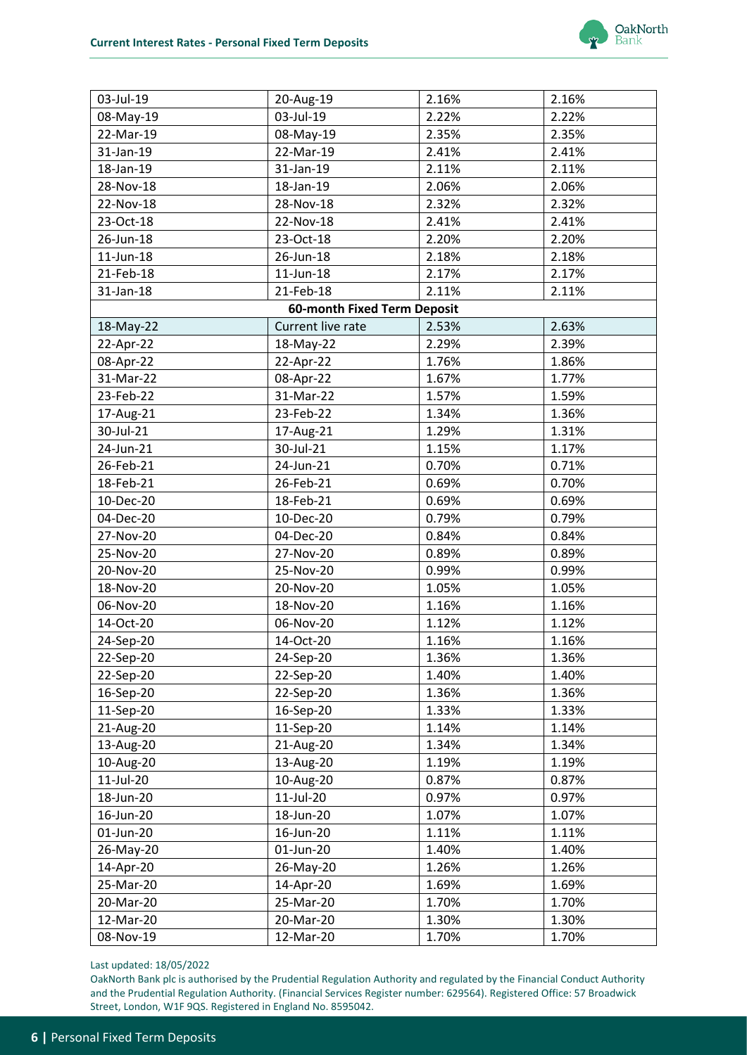

| 03-Jul-19 | 20-Aug-19                          | 2.16% | 2.16% |
|-----------|------------------------------------|-------|-------|
| 08-May-19 | 03-Jul-19                          | 2.22% | 2.22% |
| 22-Mar-19 | 08-May-19                          | 2.35% | 2.35% |
| 31-Jan-19 | 22-Mar-19                          | 2.41% | 2.41% |
| 18-Jan-19 | 31-Jan-19                          | 2.11% | 2.11% |
| 28-Nov-18 | 18-Jan-19                          | 2.06% | 2.06% |
| 22-Nov-18 | 28-Nov-18                          | 2.32% | 2.32% |
| 23-Oct-18 | 22-Nov-18                          | 2.41% | 2.41% |
| 26-Jun-18 | 23-Oct-18                          | 2.20% | 2.20% |
| 11-Jun-18 | 26-Jun-18                          | 2.18% | 2.18% |
| 21-Feb-18 | 11-Jun-18                          | 2.17% | 2.17% |
| 31-Jan-18 | 21-Feb-18                          | 2.11% | 2.11% |
|           | <b>60-month Fixed Term Deposit</b> |       |       |
| 18-May-22 | Current live rate                  | 2.53% | 2.63% |
| 22-Apr-22 | 18-May-22                          | 2.29% | 2.39% |
| 08-Apr-22 | 22-Apr-22                          | 1.76% | 1.86% |
| 31-Mar-22 | 08-Apr-22                          | 1.67% | 1.77% |
| 23-Feb-22 | 31-Mar-22                          | 1.57% | 1.59% |
| 17-Aug-21 | 23-Feb-22                          | 1.34% | 1.36% |
| 30-Jul-21 | 17-Aug-21                          | 1.29% | 1.31% |
| 24-Jun-21 | 30-Jul-21                          | 1.15% | 1.17% |
| 26-Feb-21 | 24-Jun-21                          | 0.70% | 0.71% |
| 18-Feb-21 | 26-Feb-21                          | 0.69% | 0.70% |
| 10-Dec-20 | 18-Feb-21                          | 0.69% | 0.69% |
| 04-Dec-20 | 10-Dec-20                          | 0.79% | 0.79% |
| 27-Nov-20 | 04-Dec-20                          | 0.84% | 0.84% |
| 25-Nov-20 | 27-Nov-20                          | 0.89% | 0.89% |
| 20-Nov-20 | 25-Nov-20                          | 0.99% | 0.99% |
| 18-Nov-20 | 20-Nov-20                          | 1.05% | 1.05% |
| 06-Nov-20 | 18-Nov-20                          | 1.16% | 1.16% |
| 14-Oct-20 | 06-Nov-20                          | 1.12% | 1.12% |
| 24-Sep-20 | 14-Oct-20                          | 1.16% | 1.16% |
| 22-Sep-20 | 24-Sep-20                          | 1.36% | 1.36% |
| 22-Sep-20 | 22-Sep-20                          | 1.40% | 1.40% |
| 16-Sep-20 | 22-Sep-20                          | 1.36% | 1.36% |
| 11-Sep-20 | 16-Sep-20                          | 1.33% | 1.33% |
| 21-Aug-20 | 11-Sep-20                          | 1.14% | 1.14% |
| 13-Aug-20 | 21-Aug-20                          | 1.34% | 1.34% |
| 10-Aug-20 | 13-Aug-20                          | 1.19% | 1.19% |
| 11-Jul-20 | 10-Aug-20                          | 0.87% | 0.87% |
| 18-Jun-20 | 11-Jul-20                          | 0.97% | 0.97% |
| 16-Jun-20 | 18-Jun-20                          | 1.07% | 1.07% |
| 01-Jun-20 | 16-Jun-20                          | 1.11% | 1.11% |
| 26-May-20 | 01-Jun-20                          | 1.40% | 1.40% |
| 14-Apr-20 | 26-May-20                          | 1.26% | 1.26% |
| 25-Mar-20 | 14-Apr-20                          | 1.69% | 1.69% |
| 20-Mar-20 | 25-Mar-20                          | 1.70% | 1.70% |
| 12-Mar-20 | 20-Mar-20                          | 1.30% | 1.30% |
| 08-Nov-19 | 12-Mar-20                          | 1.70% | 1.70% |